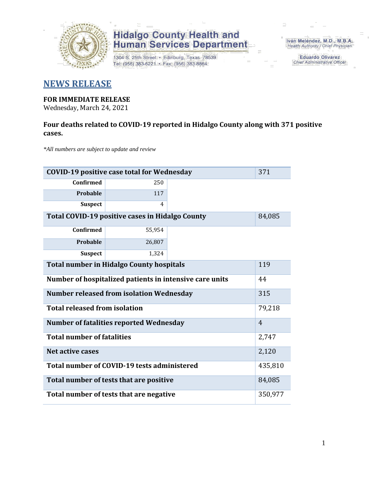

1304 S. 25th Street · Edinburg, Texas 78539 Tel: (956) 383-6221 · Fax: (956) 383-8864

Iván Meléndez, M.D., M.B.A. Health Authority / Chief Physician

> **Eduardo Olivarez** Chief Administrative Officer

### **NEWS RELEASE**

#### **FOR IMMEDIATE RELEASE**

Wednesday, March 24, 2021

#### **Four deaths related to COVID-19 reported in Hidalgo County along with 371 positive cases.**

*\*All numbers are subject to update and review*

| <b>COVID-19 positive case total for Wednesday</b><br>371      |                                             |  |                |  |  |  |  |  |  |
|---------------------------------------------------------------|---------------------------------------------|--|----------------|--|--|--|--|--|--|
| Confirmed                                                     | 250                                         |  |                |  |  |  |  |  |  |
| Probable                                                      | 117                                         |  |                |  |  |  |  |  |  |
| <b>Suspect</b>                                                | $\overline{4}$                              |  |                |  |  |  |  |  |  |
| Total COVID-19 positive cases in Hidalgo County<br>84,085     |                                             |  |                |  |  |  |  |  |  |
| <b>Confirmed</b>                                              | 55,954                                      |  |                |  |  |  |  |  |  |
| Probable                                                      | 26,807                                      |  |                |  |  |  |  |  |  |
| <b>Suspect</b>                                                | 1,324                                       |  |                |  |  |  |  |  |  |
| 119<br><b>Total number in Hidalgo County hospitals</b>        |                                             |  |                |  |  |  |  |  |  |
| Number of hospitalized patients in intensive care units<br>44 |                                             |  |                |  |  |  |  |  |  |
| 315<br><b>Number released from isolation Wednesday</b>        |                                             |  |                |  |  |  |  |  |  |
| <b>Total released from isolation</b><br>79,218                |                                             |  |                |  |  |  |  |  |  |
|                                                               | Number of fatalities reported Wednesday     |  | $\overline{4}$ |  |  |  |  |  |  |
| <b>Total number of fatalities</b>                             |                                             |  | 2,747          |  |  |  |  |  |  |
| Net active cases                                              |                                             |  | 2,120          |  |  |  |  |  |  |
|                                                               | Total number of COVID-19 tests administered |  | 435,810        |  |  |  |  |  |  |
|                                                               | Total number of tests that are positive     |  | 84,085         |  |  |  |  |  |  |
| Total number of tests that are negative<br>350,977            |                                             |  |                |  |  |  |  |  |  |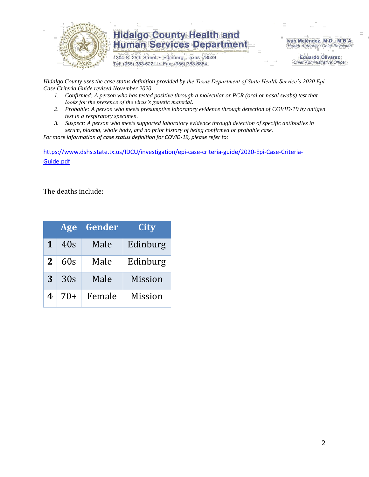

1304 S. 25th Street · Edinburg, Texas 78539 Tel: (956) 383-6221 · Fax: (956) 383-8864

Iván Meléndez, M.D., M.B.A. Health Authority / Chief Physician

> **Eduardo Olivarez Chief Administrative Officer**

*Hidalgo County uses the case status definition provided by the Texas Department of State Health Service's 2020 Epi Case Criteria Guide revised November 2020.*

- *1. Confirmed: A person who has tested positive through a molecular or PCR (oral or nasal swabs) test that looks for the presence of the virus's genetic material.*
- *2. Probable: A person who meets presumptive laboratory evidence through detection of COVID-19 by antigen test in a respiratory specimen.*
- *3. Suspect: A person who meets supported laboratory evidence through detection of specific antibodies in serum, plasma, whole body, and no prior history of being confirmed or probable case.*

*For more information of case status definition for COVID-19, please refer to:*

[https://www.dshs.state.tx.us/IDCU/investigation/epi-case-criteria-guide/2020-Epi-Case-Criteria-](https://www.dshs.state.tx.us/IDCU/investigation/epi-case-criteria-guide/2020-Epi-Case-Criteria-Guide.pdf)[Guide.pdf](https://www.dshs.state.tx.us/IDCU/investigation/epi-case-criteria-guide/2020-Epi-Case-Criteria-Guide.pdf)

The deaths include:

|   | Age   | Gender | City           |
|---|-------|--------|----------------|
| 1 | 40s   | Male   | Edinburg       |
| 2 | 60s   | Male   | Edinburg       |
| 3 | 30s   | Male   | <b>Mission</b> |
| 4 | $70+$ | Female | <b>Mission</b> |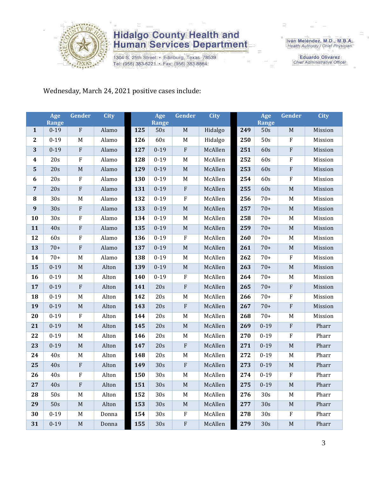

1304 S. 25th Street · Edinburg, Texas 78539 Tel: (956) 383-6221 · Fax: (956) 383-8864

Iván Meléndez, M.D., M.B.A.<br>Health Authority / Chief Physician

**Eduardo Olivarez** Chief Administrative Officer

Wednesday, March 24, 2021 positive cases include:

|                  | Age<br><b>Range</b> | Gender      | <b>City</b> |     | Age<br><b>Range</b> | Gender      | <b>City</b> |     | Age<br>Range | Gender       | <b>City</b> |
|------------------|---------------------|-------------|-------------|-----|---------------------|-------------|-------------|-----|--------------|--------------|-------------|
| $\mathbf{1}$     | $0 - 19$            | ${\bf F}$   | Alamo       | 125 | 50s                 | $\mathbf M$ | Hidalgo     | 249 | 50s          | $\mathbf M$  | Mission     |
| $\boldsymbol{2}$ | $0 - 19$            | M           | Alamo       | 126 | 60s                 | $\mathbf M$ | Hidalgo     | 250 | 50s          | $\rm F$      | Mission     |
| 3                | $0 - 19$            | ${\bf F}$   | Alamo       | 127 | $0 - 19$            | $\rm F$     | McAllen     | 251 | 60s          | $\mathbf{F}$ | Mission     |
| $\boldsymbol{4}$ | 20s                 | ${\bf F}$   | Alamo       | 128 | $0 - 19$            | $\mathbf M$ | McAllen     | 252 | 60s          | $\rm F$      | Mission     |
| $\mathbf{5}$     | 20s                 | $\mathbf M$ | Alamo       | 129 | $0 - 19$            | $\mathbf M$ | McAllen     | 253 | 60s          | $\rm F$      | Mission     |
| 6                | 20s                 | ${\bf F}$   | Alamo       | 130 | $0 - 19$            | M           | McAllen     | 254 | 60s          | $\rm F$      | Mission     |
| $\overline{7}$   | 20s                 | ${\bf F}$   | Alamo       | 131 | $0 - 19$            | ${\bf F}$   | McAllen     | 255 | 60s          | $\mathbf M$  | Mission     |
| 8                | 30s                 | M           | Alamo       | 132 | $0 - 19$            | $\rm F$     | McAllen     | 256 | $70+$        | M            | Mission     |
| 9                | 30s                 | ${\bf F}$   | Alamo       | 133 | $0 - 19$            | $\mathbf M$ | McAllen     | 257 | $70+$        | $\mathbf M$  | Mission     |
| 10               | 30s                 | ${\bf F}$   | Alamo       | 134 | $0 - 19$            | $\mathbf M$ | McAllen     | 258 | $70+$        | M            | Mission     |
| 11               | 40s                 | ${\bf F}$   | Alamo       | 135 | $0 - 19$            | $\mathbf M$ | McAllen     | 259 | $70+$        | $\mathbf M$  | Mission     |
| 12               | 60s                 | ${\bf F}$   | Alamo       | 136 | $0 - 19$            | $\rm F$     | McAllen     | 260 | $70+$        | M            | Mission     |
| 13               | $70+$               | ${\bf F}$   | Alamo       | 137 | $0 - 19$            | $\mathbf M$ | McAllen     | 261 | $70+$        | $\mathbf M$  | Mission     |
| 14               | $70+$               | M           | Alamo       | 138 | $0 - 19$            | $\mathbf M$ | McAllen     | 262 | $70+$        | $\rm F$      | Mission     |
| 15               | $0 - 19$            | $\mathbf M$ | Alton       | 139 | $0 - 19$            | $\mathbf M$ | McAllen     | 263 | $70+$        | $\mathbf M$  | Mission     |
| 16               | $0 - 19$            | M           | Alton       | 140 | $0 - 19$            | $\rm F$     | McAllen     | 264 | $70+$        | $\mathbf M$  | Mission     |
| 17               | $0 - 19$            | ${\bf F}$   | Alton       | 141 | 20s                 | $\rm F$     | McAllen     | 265 | $70+$        | $\rm F$      | Mission     |
| 18               | $0 - 19$            | $\mathbf M$ | Alton       | 142 | 20s                 | M           | McAllen     | 266 | $70+$        | $\rm F$      | Mission     |
| 19               | $0 - 19$            | $\mathbf M$ | Alton       | 143 | 20s                 | $\rm F$     | McAllen     | 267 | $70+$        | ${\bf F}$    | Mission     |
| 20               | $0 - 19$            | ${\bf F}$   | Alton       | 144 | 20s                 | $\mathbf M$ | McAllen     | 268 | $70+$        | M            | Mission     |
| 21               | $0 - 19$            | $\mathbf M$ | Alton       | 145 | 20s                 | $\mathbf M$ | McAllen     | 269 | $0 - 19$     | $\mathbf{F}$ | Pharr       |
| 22               | $0 - 19$            | M           | Alton       | 146 | 20s                 | M           | McAllen     | 270 | $0 - 19$     | $\rm F$      | Pharr       |
| 23               | $0 - 19$            | M           | Alton       | 147 | 20s                 | $\rm F$     | McAllen     | 271 | $0 - 19$     | $\mathbf M$  | Pharr       |
| 24               | 40s                 | M           | Alton       | 148 | 20s                 | M           | McAllen     | 272 | $0 - 19$     | M            | Pharr       |
| 25               | 40s                 | ${\bf F}$   | Alton       | 149 | 30s                 | ${\bf F}$   | McAllen     | 273 | $0 - 19$     | $\mathbf M$  | Pharr       |
| 26               | 40s                 | F           | Alton       | 150 | 30s                 | $\mathbf M$ | McAllen     | 274 | $0 - 19$     | $\rm F$      | Pharr       |
| 27               | 40s                 | F           | Alton       | 151 | 30s                 | $\mathbf M$ | McAllen     | 275 | $0 - 19$     | $\mathbf M$  | Pharr       |
| 28               | 50s                 | M           | Alton       | 152 | 30s                 | $\mathbf M$ | McAllen     | 276 | 30s          | M            | Pharr       |
| 29               | 50s                 | M           | Alton       | 153 | 30s                 | $M_{\odot}$ | McAllen     | 277 | 30s          | M            | Pharr       |
| 30               | $0 - 19$            | M           | Donna       | 154 | 30s                 | $\rm F$     | McAllen     | 278 | 30s          | $\rm F$      | Pharr       |
| 31               | $0 - 19$            | $\mathbf M$ | Donna       | 155 | 30s                 | ${\bf F}$   | McAllen     | 279 | 30s          | $\mathbf M$  | Pharr       |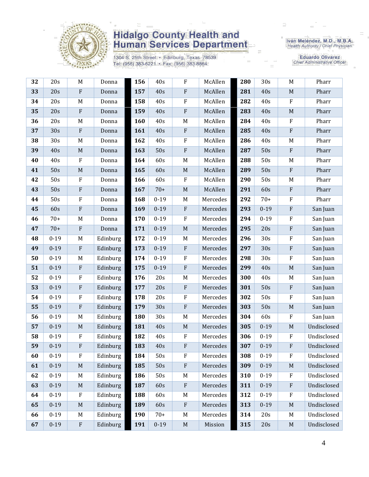

1304 S. 25th Street · Edinburg, Texas 78539 Tel: (956) 383-6221 · Fax: (956) 383-8864

Iván Meléndez, M.D., M.B.A.<br>Health Authority / Chief Physician

**Eduardo Olivarez Chief Administrative Officer** 

| 32 | 20s      | $\mathbf M$               | Donna    | 156 | 40s      | ${\bf F}$   | McAllen  | 280 | 30s      | $\mathbf M$  | Pharr       |
|----|----------|---------------------------|----------|-----|----------|-------------|----------|-----|----------|--------------|-------------|
| 33 | 20s      | $\boldsymbol{\mathrm{F}}$ | Donna    | 157 | 40s      | ${\bf F}$   | McAllen  | 281 | 40s      | $\mathbf M$  | Pharr       |
| 34 | 20s      | M                         | Donna    | 158 | 40s      | ${\bf F}$   | McAllen  | 282 | 40s      | $\rm F$      | Pharr       |
| 35 | 20s      | ${\bf F}$                 | Donna    | 159 | 40s      | ${\bf F}$   | McAllen  | 283 | 40s      | $\mathbf M$  | Pharr       |
| 36 | 20s      | M                         | Donna    | 160 | 40s      | $\mathbf M$ | McAllen  | 284 | 40s      | $\rm F$      | Pharr       |
| 37 | 30s      | $\rm F$                   | Donna    | 161 | 40s      | ${\bf F}$   | McAllen  | 285 | 40s      | $\rm F$      | Pharr       |
| 38 | 30s      | M                         | Donna    | 162 | 40s      | F           | McAllen  | 286 | 40s      | M            | Pharr       |
| 39 | 40s      | $\mathbf M$               | Donna    | 163 | 50s      | ${\bf F}$   | McAllen  | 287 | 50s      | $\rm F$      | Pharr       |
| 40 | 40s      | ${\bf F}$                 | Donna    | 164 | 60s      | $M_{\odot}$ | McAllen  | 288 | 50s      | M            | Pharr       |
| 41 | 50s      | $\mathbf M$               | Donna    | 165 | 60s      | $\mathbf M$ | McAllen  | 289 | 50s      | $\rm F$      | Pharr       |
| 42 | 50s      | $\rm F$                   | Donna    | 166 | 60s      | ${\bf F}$   | McAllen  | 290 | 50s      | M            | Pharr       |
| 43 | 50s      | ${\bf F}$                 | Donna    | 167 | $70+$    | $\mathbf M$ | McAllen  | 291 | 60s      | ${\bf F}$    | Pharr       |
| 44 | 50s      | ${\bf F}$                 | Donna    | 168 | $0 - 19$ | $M_{\odot}$ | Mercedes | 292 | $70+$    | $\rm F$      | Pharr       |
| 45 | 60s      | ${\bf F}$                 | Donna    | 169 | $0 - 19$ | ${\bf F}$   | Mercedes | 293 | $0 - 19$ | $\rm F$      | San Juan    |
| 46 | $70+$    | M                         | Donna    | 170 | $0 - 19$ | ${\bf F}$   | Mercedes | 294 | $0 - 19$ | $\rm F$      | San Juan    |
| 47 | $70+$    | $\boldsymbol{\mathrm{F}}$ | Donna    | 171 | $0 - 19$ | $\mathbf M$ | Mercedes | 295 | 20s      | $\rm F$      | San Juan    |
| 48 | $0 - 19$ | M                         | Edinburg | 172 | $0 - 19$ | M           | Mercedes | 296 | 30s      | ${\bf F}$    | San Juan    |
| 49 | $0 - 19$ | $\rm F$                   | Edinburg | 173 | $0 - 19$ | ${\bf F}$   | Mercedes | 297 | 30s      | $\rm F$      | San Juan    |
| 50 | $0 - 19$ | $\mathbf M$               | Edinburg | 174 | $0 - 19$ | $\rm F$     | Mercedes | 298 | 30s      | $\rm F$      | San Juan    |
| 51 | $0 - 19$ | ${\bf F}$                 | Edinburg | 175 | $0 - 19$ | ${\bf F}$   | Mercedes | 299 | 40s      | $\mathbf M$  | San Juan    |
| 52 | $0 - 19$ | $\rm F$                   | Edinburg | 176 | 20s      | $\mathbf M$ | Mercedes | 300 | 40s      | M            | San Juan    |
| 53 | $0 - 19$ | ${\bf F}$                 | Edinburg | 177 | 20s      | ${\bf F}$   | Mercedes | 301 | 50s      | $\rm F$      | San Juan    |
| 54 | $0 - 19$ | ${\bf F}$                 | Edinburg | 178 | 20s      | ${\bf F}$   | Mercedes | 302 | 50s      | $\rm F$      | San Juan    |
| 55 | $0 - 19$ | ${\bf F}$                 | Edinburg | 179 | 30s      | ${\bf F}$   | Mercedes | 303 | 50s      | $\mathbf M$  | San Juan    |
| 56 | $0 - 19$ | M                         | Edinburg | 180 | 30s      | $\mathbf M$ | Mercedes | 304 | 60s      | $\rm F$      | San Juan    |
| 57 | $0 - 19$ | $\mathbf M$               | Edinburg | 181 | 40s      | $\mathbf M$ | Mercedes | 305 | $0 - 19$ | $\mathbf M$  | Undisclosed |
| 58 | $0 - 19$ | ${\bf F}$                 | Edinburg | 182 | 40s      | ${\bf F}$   | Mercedes | 306 | $0 - 19$ | $\mathbf F$  | Undisclosed |
| 59 | $0 - 19$ | F                         | Edinburg | 183 | 40s      | ${\bf F}$   | Mercedes | 307 | $0 - 19$ | ${\bf F}$    | Undisclosed |
| 60 | $0 - 19$ | $_{\rm F}$                | Edinburg | 184 | 50s      | $\rm F$     | Mercedes | 308 | $0 - 19$ | $\mathbf F$  | Undisclosed |
| 61 | $0 - 19$ | $\mathbf M$               | Edinburg | 185 | 50s      | ${\bf F}$   | Mercedes | 309 | $0 - 19$ | $\mathbf M$  | Undisclosed |
| 62 | $0 - 19$ | M                         | Edinburg | 186 | 50s      | M           | Mercedes | 310 | $0 - 19$ | $\mathbf{F}$ | Undisclosed |
| 63 | $0 - 19$ | M                         | Edinburg | 187 | 60s      | ${\bf F}$   | Mercedes | 311 | $0 - 19$ | $\mathbf{F}$ | Undisclosed |
| 64 | $0 - 19$ | $\boldsymbol{\mathrm{F}}$ | Edinburg | 188 | 60s      | M           | Mercedes | 312 | $0 - 19$ | $\rm F$      | Undisclosed |
| 65 | $0 - 19$ | $\mathbf M$               | Edinburg | 189 | 60s      | ${\bf F}$   | Mercedes | 313 | $0 - 19$ | $\mathbf M$  | Undisclosed |
| 66 | $0 - 19$ | M                         | Edinburg | 190 | $70+$    | $M_{\odot}$ | Mercedes | 314 | 20s      | M            | Undisclosed |
| 67 | $0 - 19$ | $\boldsymbol{\mathrm{F}}$ | Edinburg | 191 | $0 - 19$ | $\mathbf M$ | Mission  | 315 | 20s      | $\mathbf M$  | Undisclosed |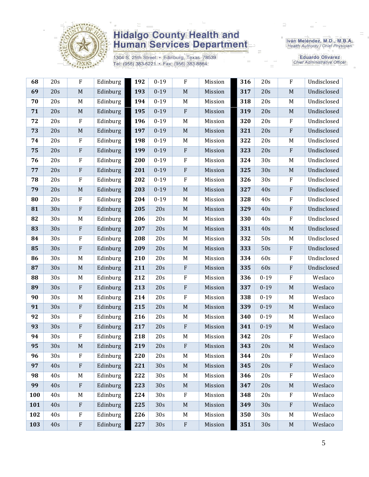

1304 S. 25th Street • Edinburg, Texas 78539<br>Tel: (956) 383-6221 • Fax: (956) 383-8864

Iván Meléndez, M.D., M.B.A.<br>Health Authority / Chief Physician

**Eduardo Olivarez** Chief Administrative Officer

| 68  | 20s | ${\bf F}$                 | Edinburg | 192 | $0 - 19$ | ${\bf F}$                 | Mission | 316 | 20s      | ${\bf F}$                 | Undisclosed |
|-----|-----|---------------------------|----------|-----|----------|---------------------------|---------|-----|----------|---------------------------|-------------|
| 69  | 20s | $\mathbf M$               | Edinburg | 193 | $0 - 19$ | $\mathbf M$               | Mission | 317 | 20s      | $\mathbf M$               | Undisclosed |
| 70  | 20s | M                         | Edinburg | 194 | $0 - 19$ | M                         | Mission | 318 | 20s      | M                         | Undisclosed |
| 71  | 20s | $\mathbf M$               | Edinburg | 195 | $0 - 19$ | $\rm F$                   | Mission | 319 | 20s      | $\mathbf M$               | Undisclosed |
| 72  | 20s | ${\bf F}$                 | Edinburg | 196 | $0 - 19$ | $M_{\odot}$               | Mission | 320 | 20s      | $\mathbf F$               | Undisclosed |
| 73  | 20s | M                         | Edinburg | 197 | $0 - 19$ | $\mathbf M$               | Mission | 321 | 20s      | ${\bf F}$                 | Undisclosed |
| 74  | 20s | $\rm F$                   | Edinburg | 198 | $0 - 19$ | $M_{\odot}$               | Mission | 322 | 20s      | $\mathbf M$               | Undisclosed |
| 75  | 20s | ${\bf F}$                 | Edinburg | 199 | $0 - 19$ | $\boldsymbol{\mathrm{F}}$ | Mission | 323 | 20s      | $\rm F$                   | Undisclosed |
| 76  | 20s | ${\bf F}$                 | Edinburg | 200 | $0 - 19$ | $\rm F$                   | Mission | 324 | 30s      | M                         | Undisclosed |
| 77  | 20s | $\rm F$                   | Edinburg | 201 | $0 - 19$ | $\rm F$                   | Mission | 325 | 30s      | $\mathbf M$               | Undisclosed |
| 78  | 20s | ${\bf F}$                 | Edinburg | 202 | $0 - 19$ | $\rm F$                   | Mission | 326 | 30s      | ${\bf F}$                 | Undisclosed |
| 79  | 20s | $\mathbf M$               | Edinburg | 203 | $0 - 19$ | $\mathbf M$               | Mission | 327 | 40s      | ${\bf F}$                 | Undisclosed |
| 80  | 20s | ${\bf F}$                 | Edinburg | 204 | $0 - 19$ | $M_{\odot}$               | Mission | 328 | 40s      | $\rm F$                   | Undisclosed |
| 81  | 30s | ${\bf F}$                 | Edinburg | 205 | 20s      | $M_{\odot}$               | Mission | 329 | 40s      | ${\bf F}$                 | Undisclosed |
| 82  | 30s | M                         | Edinburg | 206 | 20s      | M                         | Mission | 330 | 40s      | ${\bf F}$                 | Undisclosed |
| 83  | 30s | ${\bf F}$                 | Edinburg | 207 | 20s      | $\mathbf M$               | Mission | 331 | 40s      | $\mathbf M$               | Undisclosed |
| 84  | 30s | ${\bf F}$                 | Edinburg | 208 | 20s      | M                         | Mission | 332 | 50s      | M                         | Undisclosed |
| 85  | 30s | ${\bf F}$                 | Edinburg | 209 | 20s      | $\mathbf M$               | Mission | 333 | 50s      | $\rm F$                   | Undisclosed |
| 86  | 30s | M                         | Edinburg | 210 | 20s      | $M_{\odot}$               | Mission | 334 | 60s      | ${\bf F}$                 | Undisclosed |
| 87  | 30s | $\mathbf M$               | Edinburg | 211 | 20s      | $\rm F$                   | Mission | 335 | 60s      | ${\bf F}$                 | Undisclosed |
| 88  | 30s | M                         | Edinburg | 212 | 20s      | $\rm F$                   | Mission | 336 | $0 - 19$ | ${\bf F}$                 | Weslaco     |
| 89  | 30s | $\boldsymbol{\mathrm{F}}$ | Edinburg | 213 | 20s      | $\rm F$                   | Mission | 337 | $0 - 19$ | $\mathbf M$               | Weslaco     |
| 90  | 30s | M                         | Edinburg | 214 | 20s      | $\rm F$                   | Mission | 338 | $0 - 19$ | M                         | Weslaco     |
| 91  | 30s | ${\bf F}$                 | Edinburg | 215 | 20s      | $\mathbf M$               | Mission | 339 | $0 - 19$ | $\mathbf M$               | Weslaco     |
| 92  | 30s | $\rm F$                   | Edinburg | 216 | 20s      | M                         | Mission | 340 | $0 - 19$ | M                         | Weslaco     |
| 93  | 30s | ${\bf F}$                 | Edinburg | 217 | 20s      | $\rm F$                   | Mission | 341 | $0 - 19$ | $\mathbf M$               | Weslaco     |
| 94  | 30s | F                         | Edinburg | 218 | 20s      | M                         | Mission | 342 | 20s      | ${\bf F}$                 | Weslaco     |
| 95  | 30s | $\mathbf M$               | Edinburg | 219 | 20s      | $\rm F$                   | Mission | 343 | 20s      | $\mathbf M$               | Weslaco     |
| 96  | 30s | F                         | Edinburg | 220 | 20s      | M                         | Mission | 344 | 20s      | F                         | Weslaco     |
| 97  | 40s | ${\bf F}$                 | Edinburg | 221 | 30s      | M                         | Mission | 345 | 20s      | $\boldsymbol{\mathrm{F}}$ | Weslaco     |
| 98  | 40s | M                         | Edinburg | 222 | 30s      | M                         | Mission | 346 | 20s      | ${\bf F}$                 | Weslaco     |
| 99  | 40s | ${\bf F}$                 | Edinburg | 223 | 30s      | $\mathbf M$               | Mission | 347 | 20s      | $\mathbf M$               | Weslaco     |
| 100 | 40s | M                         | Edinburg | 224 | 30s      | $\rm F$                   | Mission | 348 | 20s      | $\rm F$                   | Weslaco     |
|     |     |                           |          |     | 30s      | $\mathbf M$               | Mission | 349 | 30s      | $\boldsymbol{\mathrm{F}}$ | Weslaco     |
| 101 | 40s | ${\bf F}$                 | Edinburg | 225 |          |                           |         |     |          |                           |             |
| 102 | 40s | ${\bf F}$                 | Edinburg | 226 | 30s      | $M_{\odot}$               | Mission | 350 | 30s      | M                         | Weslaco     |